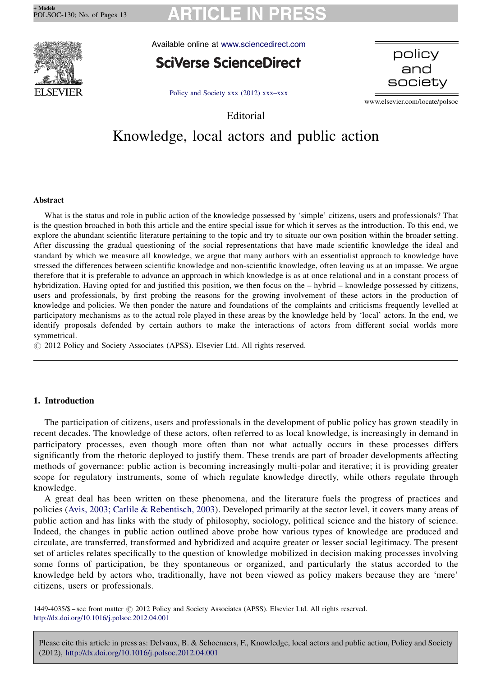

Available online at [www.sciencedirect.com](http://www.sciencedirect.com/science/journal/14494035)

**SciVerse ScienceDirect** 



[Policy and Society xxx \(2012\) xxx–xxx](http://dx.doi.org/10.1016/j.polsoc.2012.04.001)

www.elsevier.com/locate/polsoc

Editorial

# Knowledge, local actors and public action

### Abstract

What is the status and role in public action of the knowledge possessed by 'simple' citizens, users and professionals? That is the question broached in both this article and the entire special issue for which it serves as the introduction. To this end, we explore the abundant scientific literature pertaining to the topic and try to situate our own position within the broader setting. After discussing the gradual questioning of the social representations that have made scientific knowledge the ideal and standard by which we measure all knowledge, we argue that many authors with an essentialist approach to knowledge have stressed the differences between scientific knowledge and non-scientific knowledge, often leaving us at an impasse. We argue therefore that it is preferable to advance an approach in which knowledge is as at once relational and in a constant process of hybridization. Having opted for and justified this position, we then focus on the – hybrid – knowledge possessed by citizens, users and professionals, by first probing the reasons for the growing involvement of these actors in the production of knowledge and policies. We then ponder the nature and foundations of the complaints and criticisms frequently levelled at participatory mechanisms as to the actual role played in these areas by the knowledge held by 'local' actors. In the end, we identify proposals defended by certain authors to make the interactions of actors from different social worlds more symmetrical.

 $\odot$  2012 Policy and Society Associates (APSS). Elsevier Ltd. All rights reserved.

# 1. Introduction

The participation of citizens, users and professionals in the development of public policy has grown steadily in recent decades. The knowledge of these actors, often referred to as local knowledge, is increasingly in demand in participatory processes, even though more often than not what actually occurs in these processes differs significantly from the rhetoric deployed to justify them. These trends are part of broader developments affecting methods of governance: public action is becoming increasingly multi-polar and iterative; it is providing greater scope for regulatory instruments, some of which regulate knowledge directly, while others regulate through knowledge.

A great deal has been written on these phenomena, and the literature fuels the progress of practices and policies ([Avis, 2003; Carlile & Rebentisch, 2003](#page-10-0)). Developed primarily at the sector level, it covers many areas of public action and has links with the study of philosophy, sociology, political science and the history of science. Indeed, the changes in public action outlined above probe how various types of knowledge are produced and circulate, are transferred, transformed and hybridized and acquire greater or lesser social legitimacy. The present set of articles relates specifically to the question of knowledge mobilized in decision making processes involving some forms of participation, be they spontaneous or organized, and particularly the status accorded to the knowledge held by actors who, traditionally, have not been viewed as policy makers because they are 'mere' citizens, users or professionals.

1449-4035/\$ – see front matter © 2012 Policy and Society Associates (APSS). Elsevier Ltd. All rights reserved. <http://dx.doi.org/10.1016/j.polsoc.2012.04.001>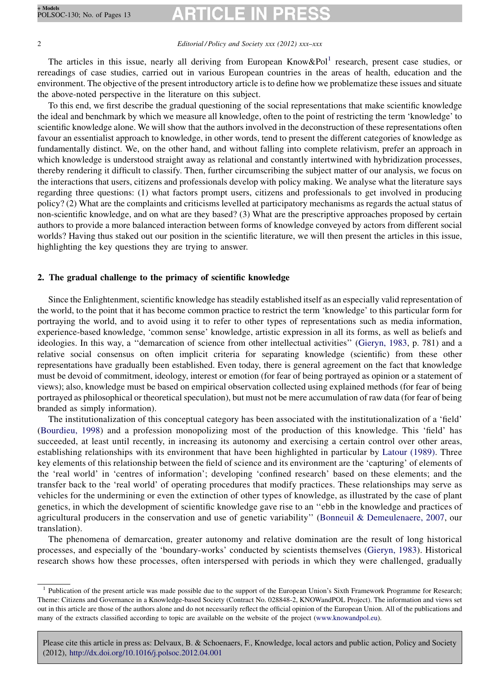The articles in this issue, nearly all deriving from European Know &Pol<sup>1</sup> research, present case studies, or rereadings of case studies, carried out in various European countries in the areas of health, education and the environment. The objective of the present introductory article is to define how we problematize these issues and situate the above-noted perspective in the literature on this subject.

To this end, we first describe the gradual questioning of the social representations that make scientific knowledge the ideal and benchmark by which we measure all knowledge, often to the point of restricting the term 'knowledge' to scientific knowledge alone. We will show that the authors involved in the deconstruction of these representations often favour an essentialist approach to knowledge, in other words, tend to present the different categories of knowledge as fundamentally distinct. We, on the other hand, and without falling into complete relativism, prefer an approach in which knowledge is understood straight away as relational and constantly intertwined with hybridization processes, thereby rendering it difficult to classify. Then, further circumscribing the subject matter of our analysis, we focus on the interactions that users, citizens and professionals develop with policy making. We analyse what the literature says regarding three questions: (1) what factors prompt users, citizens and professionals to get involved in producing policy? (2) What are the complaints and criticisms levelled at participatory mechanisms as regards the actual status of non-scientific knowledge, and on what are they based? (3) What are the prescriptive approaches proposed by certain authors to provide a more balanced interaction between forms of knowledge conveyed by actors from different social worlds? Having thus staked out our position in the scientific literature, we will then present the articles in this issue, highlighting the key questions they are trying to answer.

# 2. The gradual challenge to the primacy of scientific knowledge

Since the Enlightenment, scientific knowledge has steadily established itself as an especially valid representation of the world, to the point that it has become common practice to restrict the term 'knowledge' to this particular form for portraying the world, and to avoid using it to refer to other types of representations such as media information, experience-based knowledge, 'common sense' knowledge, artistic expression in all its forms, as well as beliefs and ideologies. In this way, a ''demarcation of science from other intellectual activities'' ([Gieryn, 1983](#page-11-0), p. 781) and a relative social consensus on often implicit criteria for separating knowledge (scientific) from these other representations have gradually been established. Even today, there is general agreement on the fact that knowledge must be devoid of commitment, ideology, interest or emotion (for fear of being portrayed as opinion or a statement of views); also, knowledge must be based on empirical observation collected using explained methods (for fear of being portrayed as philosophical or theoretical speculation), but must not be mere accumulation of raw data (for fear of being branded as simply information).

The institutionalization of this conceptual category has been associated with the institutionalization of a 'field' ([Bourdieu, 1998\)](#page-11-0) and a profession monopolizing most of the production of this knowledge. This 'field' has succeeded, at least until recently, in increasing its autonomy and exercising a certain control over other areas, establishing relationships with its environment that have been highlighted in particular by [Latour \(1989\).](#page-11-0) Three key elements of this relationship between the field of science and its environment are the 'capturing' of elements of the 'real world' in 'centres of information'; developing 'confined research' based on these elements; and the transfer back to the 'real world' of operating procedures that modify practices. These relationships may serve as vehicles for the undermining or even the extinction of other types of knowledge, as illustrated by the case of plant genetics, in which the development of scientific knowledge gave rise to an ''ebb in the knowledge and practices of agricultural producers in the conservation and use of genetic variability'' [\(Bonneuil & Demeulenaere, 2007](#page-11-0), our translation).

The phenomena of demarcation, greater autonomy and relative domination are the result of long historical processes, and especially of the 'boundary-works' conducted by scientists themselves [\(Gieryn, 1983\)](#page-11-0). Historical research shows how these processes, often interspersed with periods in which they were challenged, gradually

<sup>&</sup>lt;sup>1</sup> Publication of the present article was made possible due to the support of the European Union's Sixth Framework Programme for Research; Theme: Citizens and Governance in a Knowledge-based Society (Contract No. 028848-2, KNOWandPOL Project). The information and views set out in this article are those of the authors alone and do not necessarily reflect the official opinion of the European Union. All of the publications and many of the extracts classified according to topic are available on the website of the project [\(www.knowandpol.eu\)](http://www.knowandpol.eu/).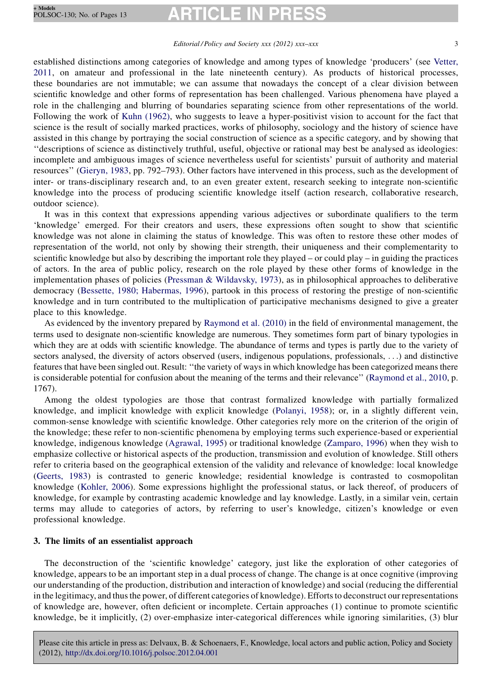established distinctions among categories of knowledge and among types of knowledge 'producers' (see [Vetter,](#page-12-0) [2011](#page-12-0), on amateur and professional in the late nineteenth century). As products of historical processes, these boundaries are not immutable; we can assume that nowadays the concept of a clear division between scientific knowledge and other forms of representation has been challenged. Various phenomena have played a role in the challenging and blurring of boundaries separating science from other representations of the world. Following the work of [Kuhn \(1962\),](#page-11-0) who suggests to leave a hyper-positivist vision to account for the fact that science is the result of socially marked practices, works of philosophy, sociology and the history of science have assisted in this change by portraying the social construction of science as a specific category, and by showing that ''descriptions of science as distinctively truthful, useful, objective or rational may best be analysed as ideologies: incomplete and ambiguous images of science nevertheless useful for scientists' pursuit of authority and material resources'' [\(Gieryn, 1983](#page-11-0), pp. 792–793). Other factors have intervened in this process, such as the development of inter- or trans-disciplinary research and, to an even greater extent, research seeking to integrate non-scientific knowledge into the process of producing scientific knowledge itself (action research, collaborative research, outdoor science).

It was in this context that expressions appending various adjectives or subordinate qualifiers to the term 'knowledge' emerged. For their creators and users, these expressions often sought to show that scientific knowledge was not alone in claiming the status of knowledge. This was often to restore these other modes of representation of the world, not only by showing their strength, their uniqueness and their complementarity to scientific knowledge but also by describing the important role they played – or could play – in guiding the practices of actors. In the area of public policy, research on the role played by these other forms of knowledge in the implementation phases of policies ([Pressman & Wildavsky, 1973\)](#page-12-0), as in philosophical approaches to deliberative democracy ([Bessette, 1980; Habermas, 1996](#page-10-0)), partook in this process of restoring the prestige of non-scientific knowledge and in turn contributed to the multiplication of participative mechanisms designed to give a greater place to this knowledge.

As evidenced by the inventory prepared by [Raymond et al. \(2010\)](#page-12-0) in the field of environmental management, the terms used to designate non-scientific knowledge are numerous. They sometimes form part of binary typologies in which they are at odds with scientific knowledge. The abundance of terms and types is partly due to the variety of sectors analysed, the diversity of actors observed (users, indigenous populations, professionals, ...) and distinctive features that have been singled out. Result: ''the variety of ways in which knowledge has been categorized means there is considerable potential for confusion about the meaning of the terms and their relevance'' [\(Raymond et al., 2010,](#page-12-0) p. 1767).

Among the oldest typologies are those that contrast formalized knowledge with partially formalized knowledge, and implicit knowledge with explicit knowledge ([Polanyi, 1958](#page-12-0)); or, in a slightly different vein, common-sense knowledge with scientific knowledge. Other categories rely more on the criterion of the origin of the knowledge; these refer to non-scientific phenomena by employing terms such experience-based or experiential knowledge, indigenous knowledge [\(Agrawal, 1995\)](#page-10-0) or traditional knowledge [\(Zamparo, 1996\)](#page-12-0) when they wish to emphasize collective or historical aspects of the production, transmission and evolution of knowledge. Still others refer to criteria based on the geographical extension of the validity and relevance of knowledge: local knowledge [\(Geerts, 1983](#page-11-0)) is contrasted to generic knowledge; residential knowledge is contrasted to cosmopolitan knowledge [\(Kohler, 2006\)](#page-11-0). Some expressions highlight the professional status, or lack thereof, of producers of knowledge, for example by contrasting academic knowledge and lay knowledge. Lastly, in a similar vein, certain terms may allude to categories of actors, by referring to user's knowledge, citizen's knowledge or even professional knowledge.

# 3. The limits of an essentialist approach

The deconstruction of the 'scientific knowledge' category, just like the exploration of other categories of knowledge, appears to be an important step in a dual process of change. The change is at once cognitive (improving our understanding of the production, distribution and interaction of knowledge) and social (reducing the differential in the legitimacy, and thus the power, of different categories of knowledge). Efforts to deconstruct our representations of knowledge are, however, often deficient or incomplete. Certain approaches (1) continue to promote scientific knowledge, be it implicitly, (2) over-emphasize inter-categorical differences while ignoring similarities, (3) blur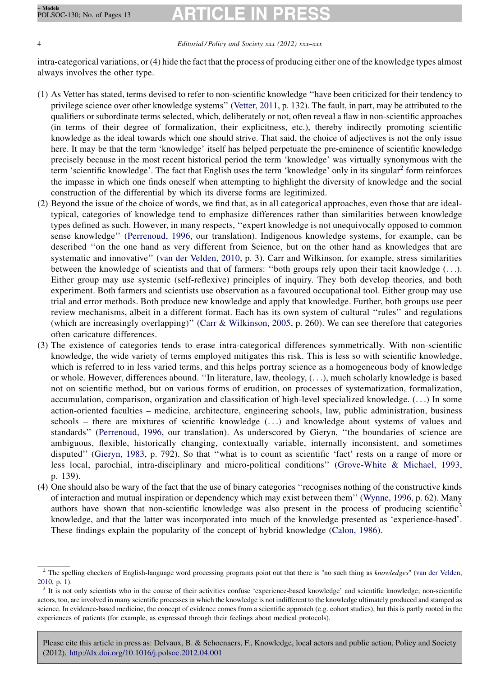intra-categorical variations, or (4) hide the fact that the process of producing either one of the knowledge types almost always involves the other type.

- (1) As Vetter has stated, terms devised to refer to non-scientific knowledge ''have been criticized for their tendency to privilege science over other knowledge systems'' ([Vetter, 2011](#page-12-0), p. 132). The fault, in part, may be attributed to the qualifiers or subordinate terms selected, which, deliberately or not, often reveal a flaw in non-scientific approaches (in terms of their degree of formalization, their explicitness, etc.), thereby indirectly promoting scientific knowledge as the ideal towards which one should strive. That said, the choice of adjectives is not the only issue here. It may be that the term 'knowledge' itself has helped perpetuate the pre-eminence of scientific knowledge precisely because in the most recent historical period the term 'knowledge' was virtually synonymous with the term 'scientific knowledge'. The fact that English uses the term 'knowledge' only in its singular<sup>2</sup> form reinforces the impasse in which one finds oneself when attempting to highlight the diversity of knowledge and the social construction of the differential by which its diverse forms are legitimized.
- (2) Beyond the issue of the choice of words, we find that, as in all categorical approaches, even those that are idealtypical, categories of knowledge tend to emphasize differences rather than similarities between knowledge types defined as such. However, in many respects, ''expert knowledge is not unequivocally opposed to common sense knowledge'' ([Perrenoud, 1996,](#page-12-0) our translation). Indigenous knowledge systems, for example, can be described ''on the one hand as very different from Science, but on the other hand as knowledges that are systematic and innovative'' [\(van der Velden, 2010](#page-12-0), p. 3). Carr and Wilkinson, for example, stress similarities between the knowledge of scientists and that of farmers: ''both groups rely upon their tacit knowledge (...). Either group may use systemic (self-reflexive) principles of inquiry. They both develop theories, and both experiment. Both farmers and scientists use observation as a favoured occupational tool. Either group may use trial and error methods. Both produce new knowledge and apply that knowledge. Further, both groups use peer review mechanisms, albeit in a different format. Each has its own system of cultural ''rules'' and regulations (which are increasingly overlapping)'' ([Carr & Wilkinson, 2005](#page-11-0), p. 260). We can see therefore that categories often caricature differences.
- (3) The existence of categories tends to erase intra-categorical differences symmetrically. With non-scientific knowledge, the wide variety of terms employed mitigates this risk. This is less so with scientific knowledge, which is referred to in less varied terms, and this helps portray science as a homogeneous body of knowledge or whole. However, differences abound. ''In literature, law, theology, (...), much scholarly knowledge is based not on scientific method, but on various forms of erudition, on processes of systematization, formalization, accumulation, comparison, organization and classification of high-level specialized knowledge. (...) In some action-oriented faculties – medicine, architecture, engineering schools, law, public administration, business schools – there are mixtures of scientific knowledge  $(\ldots)$  and knowledge about systems of values and standards'' [\(Perrenoud, 1996,](#page-12-0) our translation). As underscored by Gieryn, ''the boundaries of science are ambiguous, flexible, historically changing, contextually variable, internally inconsistent, and sometimes disputed'' ([Gieryn, 1983,](#page-11-0) p. 792). So that ''what is to count as scientific 'fact' rests on a range of more or less local, parochial, intra-disciplinary and micro-political conditions'' ([Grove-White & Michael, 1993,](#page-11-0) p. 139).
- (4) One should also be wary of the fact that the use of binary categories ''recognises nothing of the constructive kinds of interaction and mutual inspiration or dependency which may exist between them'' ([Wynne, 1996,](#page-12-0) p. 62). Many authors have shown that non-scientific knowledge was also present in the process of producing scientific<sup>3</sup> knowledge, and that the latter was incorporated into much of the knowledge presented as 'experience-based'. These findings explain the popularity of the concept of hybrid knowledge ([Calon, 1986](#page-11-0)).

<sup>&</sup>lt;sup>2</sup> The spelling checkers of English-language word processing programs point out that there is "no such thing as knowledges" ([van der Velden,](#page-12-0)

[<sup>2010</sup>](#page-12-0), p. 1).  $3 \text{ It is not only scientists who in the course of their activities confuse 'experience-based knowledge' and scientific knowledge; non-scientific.}$ actors, too, are involved in many scientific processes in which the knowledge is not indifferent to the knowledge ultimately produced and stamped as science. In evidence-based medicine, the concept of evidence comes from a scientific approach (e.g. cohort studies), but this is partly rooted in the experiences of patients (for example, as expressed through their feelings about medical protocols).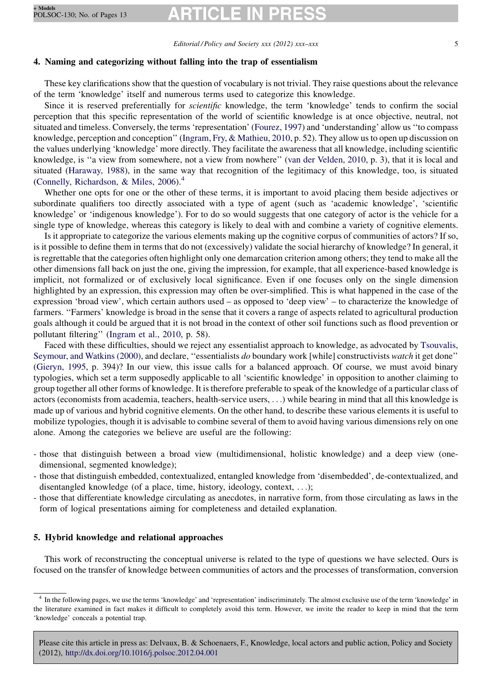### 4. Naming and categorizing without falling into the trap of essentialism

These key clarifications show that the question of vocabulary is not trivial. They raise questions about the relevance of the term 'knowledge' itself and numerous terms used to categorize this knowledge.

Since it is reserved preferentially for scientific knowledge, the term 'knowledge' tends to confirm the social perception that this specific representation of the world of scientific knowledge is at once objective, neutral, not situated and timeless. Conversely, the terms 'representation' [\(Fourez, 1997\)](#page-11-0) and 'understanding' allow us ''to compass knowledge, perception and conception'' [\(Ingram, Fry, & Mathieu, 2010,](#page-11-0) p. 52). They allow us to open up discussion on the values underlying 'knowledge' more directly. They facilitate the awareness that all knowledge, including scientific knowledge, is ''a view from somewhere, not a view from nowhere'' [\(van der Velden, 2010,](#page-12-0) p. 3), that it is local and situated [\(Haraway, 1988\)](#page-11-0), in the same way that recognition of the legitimacy of this knowledge, too, is situated (Connelly, Richardson, & Miles,  $2006$ ).<sup>4</sup>

Whether one opts for one or the other of these terms, it is important to avoid placing them beside adjectives or subordinate qualifiers too directly associated with a type of agent (such as 'academic knowledge', 'scientific knowledge' or 'indigenous knowledge'). For to do so would suggests that one category of actor is the vehicle for a single type of knowledge, whereas this category is likely to deal with and combine a variety of cognitive elements.

Is it appropriate to categorize the various elements making up the cognitive corpus of communities of actors? If so, is it possible to define them in terms that do not (excessively) validate the social hierarchy of knowledge? In general, it is regrettable that the categories often highlight only one demarcation criterion among others; they tend to make all the other dimensions fall back on just the one, giving the impression, for example, that all experience-based knowledge is implicit, not formalized or of exclusively local significance. Even if one focuses only on the single dimension highlighted by an expression, this expression may often be over-simplified. This is what happened in the case of the expression 'broad view', which certain authors used – as opposed to 'deep view' – to characterize the knowledge of farmers. ''Farmers' knowledge is broad in the sense that it covers a range of aspects related to agricultural production goals although it could be argued that it is not broad in the context of other soil functions such as flood prevention or pollutant filtering'' [\(Ingram et al., 2010](#page-11-0), p. 58).

Faced with these difficulties, should we reject any essentialist approach to knowledge, as advocated by [Tsouvalis,](#page-12-0) [Seymour, and Watkins \(2000\),](#page-12-0) and declare, ''essentialists do boundary work [while] constructivists watch it get done'' [\(Gieryn, 1995](#page-11-0), p. 394)? In our view, this issue calls for a balanced approach. Of course, we must avoid binary typologies, which set a term supposedly applicable to all 'scientific knowledge' in opposition to another claiming to group together all other forms of knowledge. It is therefore preferable to speak of the knowledge of a particular class of actors (economists from academia, teachers, health-service users, ...) while bearing in mind that all this knowledge is made up of various and hybrid cognitive elements. On the other hand, to describe these various elements it is useful to mobilize typologies, though it is advisable to combine several of them to avoid having various dimensions rely on one alone. Among the categories we believe are useful are the following:

- those that distinguish between a broad view (multidimensional, holistic knowledge) and a deep view (onedimensional, segmented knowledge);
- those that distinguish embedded, contextualized, entangled knowledge from 'disembedded', de-contextualized, and disentangled knowledge (of a place, time, history, ideology, context, ...);
- those that differentiate knowledge circulating as anecdotes, in narrative form, from those circulating as laws in the form of logical presentations aiming for completeness and detailed explanation.

### 5. Hybrid knowledge and relational approaches

This work of reconstructing the conceptual universe is related to the type of questions we have selected. Ours is focused on the transfer of knowledge between communities of actors and the processes of transformation, conversion

<sup>&</sup>lt;sup>4</sup> In the following pages, we use the terms 'knowledge' and 'representation' indiscriminately. The almost exclusive use of the term 'knowledge' in the literature examined in fact makes it difficult to completely avoid this term. However, we invite the reader to keep in mind that the term 'knowledge' conceals a potential trap.

Please cite this article in press as: Delvaux, B. & Schoenaers, F., Knowledge, local actors and public action, Policy and Society (2012), <http://dx.doi.org/10.1016/j.polsoc.2012.04.001>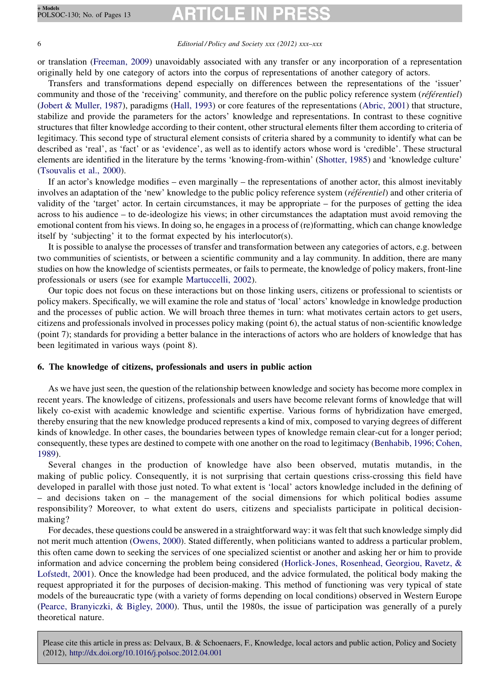or translation ([Freeman, 2009\)](#page-11-0) unavoidably associated with any transfer or any incorporation of a representation originally held by one category of actors into the corpus of representations of another category of actors.

Transfers and transformations depend especially on differences between the representations of the 'issuer' community and those of the 'receiving' community, and therefore on the public policy reference system (référentiel) [\(Jobert & Muller, 1987](#page-11-0)), paradigms ([Hall, 1993](#page-11-0)) or core features of the representations ([Abric, 2001\)](#page-10-0) that structure, stabilize and provide the parameters for the actors' knowledge and representations. In contrast to these cognitive structures that filter knowledge according to their content, other structural elements filter them according to criteria of legitimacy. This second type of structural element consists of criteria shared by a community to identify what can be described as 'real', as 'fact' or as 'evidence', as well as to identify actors whose word is 'credible'. These structural elements are identified in the literature by the terms 'knowing-from-within' ([Shotter, 1985\)](#page-12-0) and 'knowledge culture' [\(Tsouvalis et al., 2000\)](#page-12-0).

If an actor's knowledge modifies – even marginally – the representations of another actor, this almost inevitably involves an adaptation of the 'new' knowledge to the public policy reference system (*référentiel*) and other criteria of validity of the 'target' actor. In certain circumstances, it may be appropriate – for the purposes of getting the idea across to his audience – to de-ideologize his views; in other circumstances the adaptation must avoid removing the emotional content from his views. In doing so, he engages in a process of (re)formatting, which can change knowledge itself by 'subjecting' it to the format expected by his interlocutor(s).

It is possible to analyse the processes of transfer and transformation between any categories of actors, e.g. between two communities of scientists, or between a scientific community and a lay community. In addition, there are many studies on how the knowledge of scientists permeates, or fails to permeate, the knowledge of policy makers, front-line professionals or users (see for example [Martuccelli, 2002](#page-11-0)).

Our topic does not focus on these interactions but on those linking users, citizens or professional to scientists or policy makers. Specifically, we will examine the role and status of 'local' actors' knowledge in knowledge production and the processes of public action. We will broach three themes in turn: what motivates certain actors to get users, citizens and professionals involved in processes policy making (point 6), the actual status of non-scientific knowledge (point 7); standards for providing a better balance in the interactions of actors who are holders of knowledge that has been legitimated in various ways (point 8).

# 6. The knowledge of citizens, professionals and users in public action

As we have just seen, the question of the relationship between knowledge and society has become more complex in recent years. The knowledge of citizens, professionals and users have become relevant forms of knowledge that will likely co-exist with academic knowledge and scientific expertise. Various forms of hybridization have emerged, thereby ensuring that the new knowledge produced represents a kind of mix, composed to varying degrees of different kinds of knowledge. In other cases, the boundaries between types of knowledge remain clear-cut for a longer period; consequently, these types are destined to compete with one another on the road to legitimacy [\(Benhabib, 1996; Cohen,](#page-10-0) [1989](#page-10-0)).

Several changes in the production of knowledge have also been observed, mutatis mutandis, in the making of public policy. Consequently, it is not surprising that certain questions criss-crossing this field have developed in parallel with those just noted. To what extent is 'local' actors knowledge included in the defining of – and decisions taken on – the management of the social dimensions for which political bodies assume responsibility? Moreover, to what extent do users, citizens and specialists participate in political decisionmaking?

For decades, these questions could be answered in a straightforward way: it was felt that such knowledge simply did not merit much attention ([Owens, 2000\)](#page-11-0). Stated differently, when politicians wanted to address a particular problem, this often came down to seeking the services of one specialized scientist or another and asking her or him to provide information and advice concerning the problem being considered [\(Horlick-Jones, Rosenhead, Georgiou, Ravetz, &](#page-11-0) [Lofstedt, 2001\)](#page-11-0). Once the knowledge had been produced, and the advice formulated, the political body making the request appropriated it for the purposes of decision-making. This method of functioning was very typical of state models of the bureaucratic type (with a variety of forms depending on local conditions) observed in Western Europe [\(Pearce, Branyiczki, & Bigley, 2000](#page-11-0)). Thus, until the 1980s, the issue of participation was generally of a purely theoretical nature.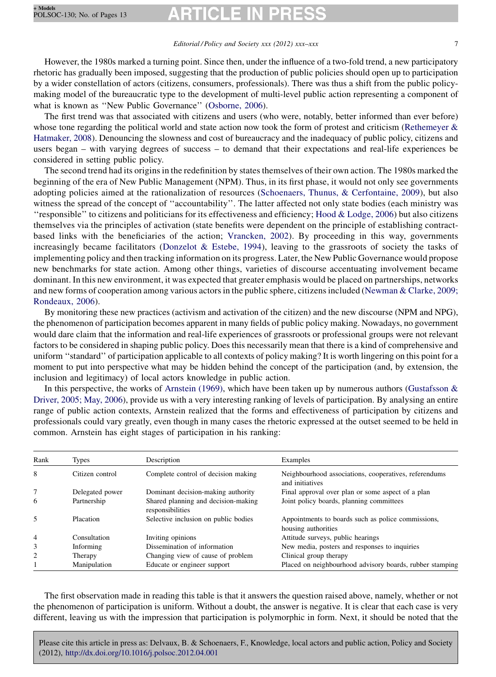However, the 1980s marked a turning point. Since then, under the influence of a two-fold trend, a new participatory rhetoric has gradually been imposed, suggesting that the production of public policies should open up to participation by a wider constellation of actors (citizens, consumers, professionals). There was thus a shift from the public policymaking model of the bureaucratic type to the development of multi-level public action representing a component of what is known as "New Public Governance" ([Osborne, 2006\)](#page-11-0).

The first trend was that associated with citizens and users (who were, notably, better informed than ever before) whose tone regarding the political world and state action now took the form of protest and criticism [\(Rethemeyer &](#page-12-0) [Hatmaker, 2008\)](#page-12-0). Denouncing the slowness and cost of bureaucracy and the inadequacy of public policy, citizens and users began – with varying degrees of success – to demand that their expectations and real-life experiences be considered in setting public policy.

The second trend had its origins in the redefinition by states themselves of their own action. The 1980s marked the beginning of the era of New Public Management (NPM). Thus, in its first phase, it would not only see governments adopting policies aimed at the rationalization of resources [\(Schoenaers, Thunus, & Cerfontaine, 2009](#page-12-0)), but also witness the spread of the concept of ''accountability''. The latter affected not only state bodies (each ministry was "responsible" to citizens and politicians for its effectiveness and efficiency; [Hood & Lodge, 2006](#page-11-0)) but also citizens themselves via the principles of activation (state benefits were dependent on the principle of establishing contractbased links with the beneficiaries of the action; [Vrancken, 2002](#page-12-0)). By proceeding in this way, governments increasingly became facilitators ([Donzelot & Estebe, 1994](#page-11-0)), leaving to the grassroots of society the tasks of implementing policy and then tracking information on its progress. Later, the New Public Governance would propose new benchmarks for state action. Among other things, varieties of discourse accentuating involvement became dominant. In this new environment, it was expected that greater emphasis would be placed on partnerships, networks and new forms of cooperation among various actors in the public sphere, citizens included ([Newman & Clarke, 2009;](#page-11-0) [Rondeaux, 2006](#page-11-0)).

By monitoring these new practices (activism and activation of the citizen) and the new discourse (NPM and NPG), the phenomenon of participation becomes apparent in many fields of public policy making. Nowadays, no government would dare claim that the information and real-life experiences of grassroots or professional groups were not relevant factors to be considered in shaping public policy. Does this necessarily mean that there is a kind of comprehensive and uniform ''standard'' of participation applicable to all contexts of policy making? It is worth lingering on this point for a moment to put into perspective what may be hidden behind the concept of the participation (and, by extension, the inclusion and legitimacy) of local actors knowledge in public action.

In this perspective, the works of [Arnstein \(1969\),](#page-10-0) which have been taken up by numerous authors [\(Gustafsson &](#page-11-0) [Driver, 2005; May, 2006\)](#page-11-0), provide us with a very interesting ranking of levels of participation. By analysing an entire range of public action contexts, Arnstein realized that the forms and effectiveness of participation by citizens and professionals could vary greatly, even though in many cases the rhetoric expressed at the outset seemed to be held in common. Arnstein has eight stages of participation in his ranking:

| Rank           | <b>Types</b>    | Description                                             | Examples                                                                  |
|----------------|-----------------|---------------------------------------------------------|---------------------------------------------------------------------------|
| 8              | Citizen control | Complete control of decision making                     | Neighbourhood associations, cooperatives, referendums<br>and initiatives  |
| 7              | Delegated power | Dominant decision-making authority                      | Final approval over plan or some aspect of a plan                         |
| 6              | Partnership     | Shared planning and decision-making<br>responsibilities | Joint policy boards, planning committees                                  |
| 5              | Placation       | Selective inclusion on public bodies                    | Appointments to boards such as police commissions,<br>housing authorities |
| $\overline{4}$ | Consultation    | Inviting opinions                                       | Attitude surveys, public hearings                                         |
| 3              | Informing       | Dissemination of information                            | New media, posters and responses to inquiries                             |
| $\overline{c}$ | Therapy         | Changing view of cause of problem                       | Clinical group therapy                                                    |
|                | Manipulation    | Educate or engineer support                             | Placed on neighbourhood advisory boards, rubber stamping                  |

The first observation made in reading this table is that it answers the question raised above, namely, whether or not the phenomenon of participation is uniform. Without a doubt, the answer is negative. It is clear that each case is very different, leaving us with the impression that participation is polymorphic in form. Next, it should be noted that the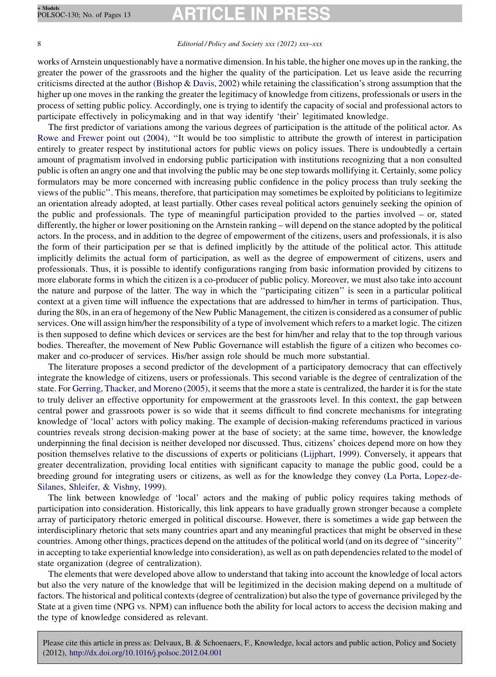works of Arnstein unquestionably have a normative dimension. In his table, the higher one moves up in the ranking, the greater the power of the grassroots and the higher the quality of the participation. Let us leave aside the recurring criticisms directed at the author ([Bishop & Davis, 2002\)](#page-10-0) while retaining the classification's strong assumption that the higher up one moves in the ranking the greater the legitimacy of knowledge from citizens, professionals or users in the process of setting public policy. Accordingly, one is trying to identify the capacity of social and professional actors to participate effectively in policymaking and in that way identify 'their' legitimated knowledge.

The first predictor of variations among the various degrees of participation is the attitude of the political actor. As [Rowe and Frewer point out \(2004\)](#page-12-0), ''It would be too simplistic to attribute the growth of interest in participation entirely to greater respect by institutional actors for public views on policy issues. There is undoubtedly a certain amount of pragmatism involved in endorsing public participation with institutions recognizing that a non consulted public is often an angry one and that involving the public may be one step towards mollifying it. Certainly, some policy formulators may be more concerned with increasing public confidence in the policy process than truly seeking the views of the public''. This means, therefore, that participation may sometimes be exploited by politicians to legitimize an orientation already adopted, at least partially. Other cases reveal political actors genuinely seeking the opinion of the public and professionals. The type of meaningful participation provided to the parties involved – or, stated differently, the higher or lower positioning on the Arnstein ranking – will depend on the stance adopted by the political actors. In the process, and in addition to the degree of empowerment of the citizens, users and professionals, it is also the form of their participation per se that is defined implicitly by the attitude of the political actor. This attitude implicitly delimits the actual form of participation, as well as the degree of empowerment of citizens, users and professionals. Thus, it is possible to identify configurations ranging from basic information provided by citizens to more elaborate forms in which the citizen is a co-producer of public policy. Moreover, we must also take into account the nature and purpose of the latter. The way in which the ''participating citizen'' is seen in a particular political context at a given time will influence the expectations that are addressed to him/her in terms of participation. Thus, during the 80s, in an era of hegemony of the New Public Management, the citizen is considered as a consumer of public services. One will assign him/her the responsibility of a type of involvement which refers to a market logic. The citizen is then supposed to define which devices or services are the best for him/her and relay that to the top through various bodies. Thereafter, the movement of New Public Governance will establish the figure of a citizen who becomes comaker and co-producer of services. His/her assign role should be much more substantial.

The literature proposes a second predictor of the development of a participatory democracy that can effectively integrate the knowledge of citizens, users or professionals. This second variable is the degree of centralization of the state. For [Gerring, Thacker, and Moreno \(2005\)](#page-11-0), it seems that the more a state is centralized, the harder it is for the state to truly deliver an effective opportunity for empowerment at the grassroots level. In this context, the gap between central power and grassroots power is so wide that it seems difficult to find concrete mechanisms for integrating knowledge of 'local' actors with policy making. The example of decision-making referendums practiced in various countries reveals strong decision-making power at the base of society; at the same time, however, the knowledge underpinning the final decision is neither developed nor discussed. Thus, citizens' choices depend more on how they position themselves relative to the discussions of experts or politicians ([Lijphart, 1999](#page-11-0)). Conversely, it appears that greater decentralization, providing local entities with significant capacity to manage the public good, could be a breeding ground for integrating users or citizens, as well as for the knowledge they convey ([La Porta, Lopez-de-](#page-11-0)[Silanes, Shleifer, & Vishny, 1999\)](#page-11-0).

The link between knowledge of 'local' actors and the making of public policy requires taking methods of participation into consideration. Historically, this link appears to have gradually grown stronger because a complete array of participatory rhetoric emerged in political discourse. However, there is sometimes a wide gap between the interdisciplinary rhetoric that sets many countries apart and any meaningful practices that might be observed in these countries. Among other things, practices depend on the attitudes of the political world (and on its degree of ''sincerity'' in accepting to take experiential knowledge into consideration), as well as on path dependencies related to the model of state organization (degree of centralization).

The elements that were developed above allow to understand that taking into account the knowledge of local actors but also the very nature of the knowledge that will be legitimized in the decision making depend on a multitude of factors. The historical and political contexts (degree of centralization) but also the type of governance privileged by the State at a given time (NPG vs. NPM) can influence both the ability for local actors to access the decision making and the type of knowledge considered as relevant.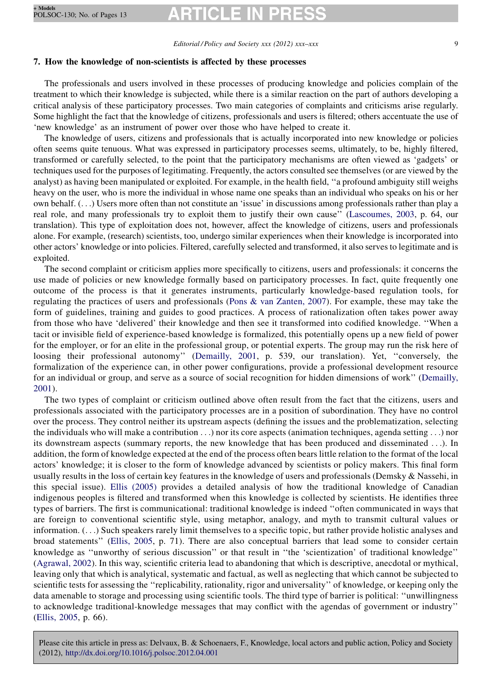# 7. How the knowledge of non-scientists is affected by these processes

The professionals and users involved in these processes of producing knowledge and policies complain of the treatment to which their knowledge is subjected, while there is a similar reaction on the part of authors developing a critical analysis of these participatory processes. Two main categories of complaints and criticisms arise regularly. Some highlight the fact that the knowledge of citizens, professionals and users is filtered; others accentuate the use of 'new knowledge' as an instrument of power over those who have helped to create it.

The knowledge of users, citizens and professionals that is actually incorporated into new knowledge or policies often seems quite tenuous. What was expressed in participatory processes seems, ultimately, to be, highly filtered, transformed or carefully selected, to the point that the participatory mechanisms are often viewed as 'gadgets' or techniques used for the purposes of legitimating. Frequently, the actors consulted see themselves (or are viewed by the analyst) as having been manipulated or exploited. For example, in the health field, ''a profound ambiguity still weighs heavy on the user, who is more the individual in whose name one speaks than an individual who speaks on his or her own behalf. (...) Users more often than not constitute an 'issue' in discussions among professionals rather than play a real role, and many professionals try to exploit them to justify their own cause'' ([Lascoumes, 2003](#page-11-0), p. 64, our translation). This type of exploitation does not, however, affect the knowledge of citizens, users and professionals alone. For example, (research) scientists, too, undergo similar experiences when their knowledge is incorporated into other actors' knowledge or into policies. Filtered, carefully selected and transformed, it also serves to legitimate and is exploited.

The second complaint or criticism applies more specifically to citizens, users and professionals: it concerns the use made of policies or new knowledge formally based on participatory processes. In fact, quite frequently one outcome of the process is that it generates instruments, particularly knowledge-based regulation tools, for regulating the practices of users and professionals ([Pons & van Zanten, 2007](#page-12-0)). For example, these may take the form of guidelines, training and guides to good practices. A process of rationalization often takes power away from those who have 'delivered' their knowledge and then see it transformed into codified knowledge. ''When a tacit or invisible field of experience-based knowledge is formalized, this potentially opens up a new field of power for the employer, or for an elite in the professional group, or potential experts. The group may run the risk here of loosing their professional autonomy'' [\(Demailly, 2001,](#page-11-0) p. 539, our translation). Yet, ''conversely, the formalization of the experience can, in other power configurations, provide a professional development resource for an individual or group, and serve as a source of social recognition for hidden dimensions of work'' ([Demailly,](#page-11-0) [2001](#page-11-0)).

The two types of complaint or criticism outlined above often result from the fact that the citizens, users and professionals associated with the participatory processes are in a position of subordination. They have no control over the process. They control neither its upstream aspects (defining the issues and the problematization, selecting the individuals who will make a contribution ...) nor its core aspects (animation techniques, agenda setting ...) nor its downstream aspects (summary reports, the new knowledge that has been produced and disseminated ...). In addition, the form of knowledge expected at the end of the process often bears little relation to the format of the local actors' knowledge; it is closer to the form of knowledge advanced by scientists or policy makers. This final form usually results in the loss of certain key features in the knowledge of users and professionals (Demsky & Nassehi, in this special issue). [Ellis \(2005\)](#page-11-0) provides a detailed analysis of how the traditional knowledge of Canadian indigenous peoples is filtered and transformed when this knowledge is collected by scientists. He identifies three types of barriers. The first is communicational: traditional knowledge is indeed ''often communicated in ways that are foreign to conventional scientific style, using metaphor, analogy, and myth to transmit cultural values or information. (...) Such speakers rarely limit themselves to a specific topic, but rather provide holistic analyses and broad statements'' [\(Ellis, 2005,](#page-11-0) p. 71). There are also conceptual barriers that lead some to consider certain knowledge as ''unworthy of serious discussion'' or that result in ''the 'scientization' of traditional knowledge'' [\(Agrawal, 2002\)](#page-10-0). In this way, scientific criteria lead to abandoning that which is descriptive, anecdotal or mythical, leaving only that which is analytical, systematic and factual, as well as neglecting that which cannot be subjected to scientific tests for assessing the ''replicability, rationality, rigor and universality'' of knowledge, or keeping only the data amenable to storage and processing using scientific tools. The third type of barrier is political: ''unwillingness to acknowledge traditional-knowledge messages that may conflict with the agendas of government or industry'' [\(Ellis, 2005](#page-11-0), p. 66).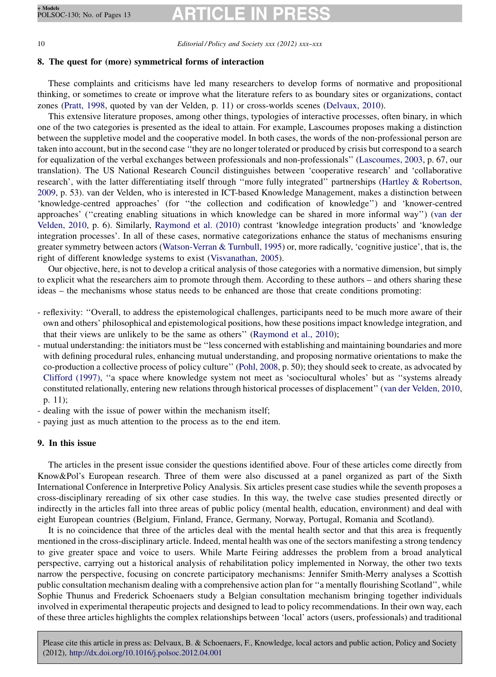# 8. The quest for (more) symmetrical forms of interaction

These complaints and criticisms have led many researchers to develop forms of normative and propositional thinking, or sometimes to create or improve what the literature refers to as boundary sites or organizations, contact zones ([Pratt, 1998](#page-12-0), quoted by van der Velden, p. 11) or cross-worlds scenes [\(Delvaux, 2010\)](#page-11-0).

This extensive literature proposes, among other things, typologies of interactive processes, often binary, in which one of the two categories is presented as the ideal to attain. For example, Lascoumes proposes making a distinction between the suppletive model and the cooperative model. In both cases, the words of the non-professional person are taken into account, but in the second case ''they are no longer tolerated or produced by crisis but correspond to a search for equalization of the verbal exchanges between professionals and non-professionals'' [\(Lascoumes, 2003](#page-11-0), p. 67, our translation). The US National Research Council distinguishes between 'cooperative research' and 'collaborative research', with the latter differentiating itself through ''more fully integrated'' partnerships [\(Hartley & Robertson,](#page-11-0) [2009](#page-11-0), p. 53). van der Velden, who is interested in ICT-based Knowledge Management, makes a distinction between 'knowledge-centred approaches' (for ''the collection and codification of knowledge'') and 'knower-centred approaches' (''creating enabling situations in which knowledge can be shared in more informal way'') [\(van der](#page-12-0) [Velden, 2010](#page-12-0), p. 6). Similarly, [Raymond et al. \(2010\)](#page-12-0) contrast 'knowledge integration products' and 'knowledge integration processes'. In all of these cases, normative categorizations enhance the status of mechanisms ensuring greater symmetry between actors [\(Watson-Verran & Turnbull, 1995\)](#page-12-0) or, more radically, 'cognitive justice', that is, the right of different knowledge systems to exist [\(Visvanathan, 2005](#page-12-0)).

Our objective, here, is not to develop a critical analysis of those categories with a normative dimension, but simply to explicit what the researchers aim to promote through them. According to these authors – and others sharing these ideas – the mechanisms whose status needs to be enhanced are those that create conditions promoting:

- reflexivity: ''Overall, to address the epistemological challenges, participants need to be much more aware of their own and others' philosophical and epistemological positions, how these positions impact knowledge integration, and that their views are unlikely to be the same as others'' ([Raymond et al., 2010](#page-12-0));
- mutual understanding: the initiators must be ''less concerned with establishing and maintaining boundaries and more with defining procedural rules, enhancing mutual understanding, and proposing normative orientations to make the co-production a collective process of policy culture'' [\(Pohl, 2008](#page-12-0), p. 50); they should seek to create, as advocated by [Clifford \(1997\),](#page-11-0) ''a space where knowledge system not meet as 'sociocultural wholes' but as ''systems already constituted relationally, entering new relations through historical processes of displacement'' [\(van der Velden, 2010,](#page-12-0) p. 11);
- dealing with the issue of power within the mechanism itself;
- paying just as much attention to the process as to the end item.

# 9. In this issue

The articles in the present issue consider the questions identified above. Four of these articles come directly from Know&Pol's European research. Three of them were also discussed at a panel organized as part of the Sixth International Conference in Interpretive Policy Analysis. Six articles present case studies while the seventh proposes a cross-disciplinary rereading of six other case studies. In this way, the twelve case studies presented directly or indirectly in the articles fall into three areas of public policy (mental health, education, environment) and deal with eight European countries (Belgium, Finland, France, Germany, Norway, Portugal, Romania and Scotland).

It is no coincidence that three of the articles deal with the mental health sector and that this area is frequently mentioned in the cross-disciplinary article. Indeed, mental health was one of the sectors manifesting a strong tendency to give greater space and voice to users. While Marte Feiring addresses the problem from a broad analytical perspective, carrying out a historical analysis of rehabilitation policy implemented in Norway, the other two texts narrow the perspective, focusing on concrete participatory mechanisms: Jennifer Smith-Merry analyses a Scottish public consultation mechanism dealing with a comprehensive action plan for ''a mentally flourishing Scotland'', while Sophie Thunus and Frederick Schoenaers study a Belgian consultation mechanism bringing together individuals involved in experimental therapeutic projects and designed to lead to policy recommendations. In their own way, each of these three articles highlights the complex relationships between 'local' actors (users, professionals) and traditional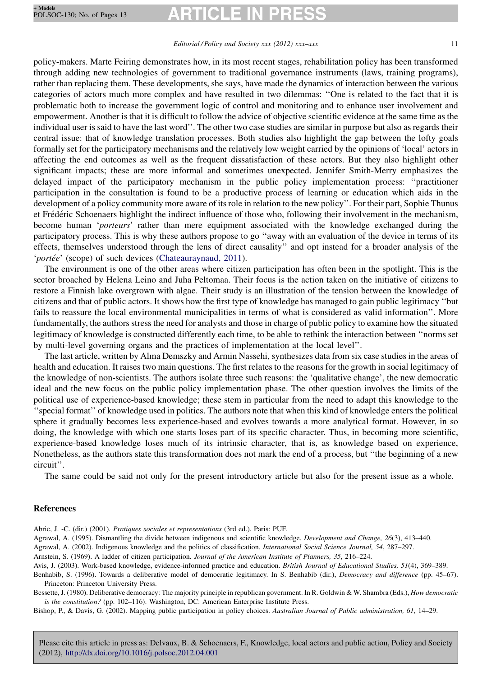<span id="page-10-0"></span>policy-makers. Marte Feiring demonstrates how, in its most recent stages, rehabilitation policy has been transformed through adding new technologies of government to traditional governance instruments (laws, training programs), rather than replacing them. These developments, she says, have made the dynamics of interaction between the various categories of actors much more complex and have resulted in two dilemmas: ''One is related to the fact that it is problematic both to increase the government logic of control and monitoring and to enhance user involvement and empowerment. Another is that it is difficult to follow the advice of objective scientific evidence at the same time as the individual user is said to have the last word''. The other two case studies are similar in purpose but also as regards their central issue: that of knowledge translation processes. Both studies also highlight the gap between the lofty goals formally set for the participatory mechanisms and the relatively low weight carried by the opinions of 'local' actors in affecting the end outcomes as well as the frequent dissatisfaction of these actors. But they also highlight other significant impacts; these are more informal and sometimes unexpected. Jennifer Smith-Merry emphasizes the delayed impact of the participatory mechanism in the public policy implementation process: ''practitioner participation in the consultation is found to be a productive process of learning or education which aids in the development of a policy community more aware of its role in relation to the new policy''. For their part, Sophie Thunus et Frédéric Schoenaers highlight the indirect influence of those who, following their involvement in the mechanism, become human '*porteurs*' rather than mere equipment associated with the knowledge exchanged during the participatory process. This is why these authors propose to go ''away with an evaluation of the device in terms of its effects, themselves understood through the lens of direct causality'' and opt instead for a broader analysis of the 'portée' (scope) of such devices ([Chateauraynaud, 2011\)](#page-11-0).

The environment is one of the other areas where citizen participation has often been in the spotlight. This is the sector broached by Helena Leino and Juha Peltomaa. Their focus is the action taken on the initiative of citizens to restore a Finnish lake overgrown with algae. Their study is an illustration of the tension between the knowledge of citizens and that of public actors. It shows how the first type of knowledge has managed to gain public legitimacy ''but fails to reassure the local environmental municipalities in terms of what is considered as valid information''. More fundamentally, the authors stress the need for analysts and those in charge of public policy to examine how the situated legitimacy of knowledge is constructed differently each time, to be able to rethink the interaction between ''norms set by multi-level governing organs and the practices of implementation at the local level''.

The last article, written by Alma Demszky and Armin Nassehi, synthesizes data from six case studies in the areas of health and education. It raises two main questions. The first relates to the reasons for the growth in social legitimacy of the knowledge of non-scientists. The authors isolate three such reasons: the 'qualitative change', the new democratic ideal and the new focus on the public policy implementation phase. The other question involves the limits of the political use of experience-based knowledge; these stem in particular from the need to adapt this knowledge to the ''special format'' of knowledge used in politics. The authors note that when this kind of knowledge enters the political sphere it gradually becomes less experience-based and evolves towards a more analytical format. However, in so doing, the knowledge with which one starts loses part of its specific character. Thus, in becoming more scientific, experience-based knowledge loses much of its intrinsic character, that is, as knowledge based on experience, Nonetheless, as the authors state this transformation does not mark the end of a process, but ''the beginning of a new circuit''.

The same could be said not only for the present introductory article but also for the present issue as a whole.

# References

Abric, J. -C. (dir.) (2001). Pratiques sociales et representations (3rd ed.). Paris: PUF.

Agrawal, A. (1995). Dismantling the divide between indigenous and scientific knowledge. Development and Change, 26(3), 413–440.

Agrawal, A. (2002). Indigenous knowledge and the politics of classification. International Social Science Journal, 54, 287–297.

Arnstein, S. (1969). A ladder of citizen participation. Journal of the American Institute of Planners, 35, 216–224.

Avis, J. (2003). Work-based knowledge, evidence-informed practice and education. British Journal of Educational Studies, 51(4), 369–389.

Benhabib, S. (1996). Towards a deliberative model of democratic legitimacy. In S. Benhabib (dir.), Democracy and difference (pp. 45–67). Princeton: Princeton University Press.

Bessette, J. (1980). Deliberative democracy: The majority principle in republican government. In R. Goldwin & W. Shambra (Eds.), How democratic is the constitution? (pp. 102–116). Washington, DC: American Enterprise Institute Press.

Bishop, P., & Davis, G. (2002). Mapping public participation in policy choices. Australian Journal of Public administration, 61, 14–29.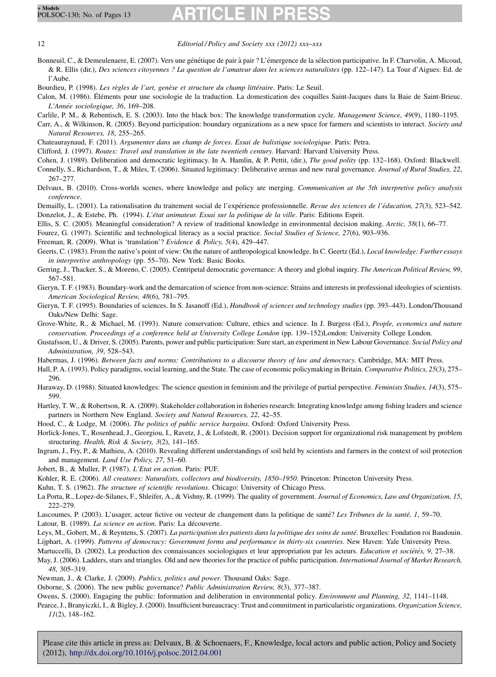Bonneuil, C., & Demeulenaere, E. (2007). Vers une génétique de pair à pair ? L'émergence de la sélection participative. In F. Charvolin, A. Micoud, & R. Ellis (dir.), Des sciences citoyennes ? La question de l'amateur dans les sciences naturalistes (pp. 122–147). La Tour d'Aigues: Ed. de l'Aube.

Bourdieu, P. (1998). Les règles de l'art, genèse et structure du champ littéraire. Paris: Le Seuil.

- Calon, M. (1986). Éléments pour une sociologie de la traduction. La domestication des coquilles Saint-Jacques dans la Baie de Saint-Brieuc. L'Année sociologique, 36, 169–208.
- Carlile, P. M., & Rebentisch, E. S. (2003). Into the black box: The knowledge transformation cycle. *Management Science*, 49(9), 1180–1195.
- Carr, A., & Wilkinson, R. (2005). Beyond participation: boundary organizations as a new space for farmers and scientists to interact. Society and Natural Resources, 18, 255–265.

Chateauraynaud, F. (2011). Argumenter dans un champ de forces. Essai de balistique sociologique. Paris: Petra.

Clifford, J. (1997). Routes: Travel and translation in the late twentieth century. Harvard: Harvard University Press.

Cohen, J. (1989). Deliberation and democratic legitimacy. In A. Hamlin, & P. Pettit, (dir.), The good polity (pp. 132–168). Oxford: Blackwell.

Connelly, S., Richardson, T., & Miles, T. (2006). Situated legitimacy: Deliberative arenas and new rural governance. Journal of Rural Studies, 22, 267–277.

Delvaux, B. (2010). Cross-worlds scenes, where knowledge and policy are merging. Communication at the 5th interpretive policy analysis conference.

Demailly, L. (2001). La rationalisation du traitement social de l'expérience professionnelle. Revue des sciences de l'éducation, 27(3), 523-542. Donzelot, J., & Estebe, Ph. (1994). L'état animateur. Essai sur la politique de la ville. Paris: Editions Esprit.

Ellis, S. C. (2005). Meaningful consideration? A review of traditional knowledge in environmental decision making. Arctic, 58(1), 66–77.

Fourez, G. (1997). Scientific and technological literacy as a social practice. Social Studies of Science, 27(6), 903–936.

Freeman, R. (2009). What is 'translation'? Evidence & Policy, 5(4), 429–447.

Geerts, C. (1983). From the native's point of view: On the nature of anthropological knowledge. In C. Geertz (Ed.), Local knowledge: Further essays in interpretive anthropology (pp. 55–70). New York: Basic Books.

Gerring, J., Thacker, S., & Moreno, C. (2005). Centripetal democratic governance: A theory and global inquiry. The American Political Review, 99, 567–581.

Gieryn, T. F. (1983). Boundary-work and the demarcation of science from non-science: Strains and interests in professional ideologies of scientists. American Sociological Review, 48(6), 781–795.

Gieryn, T. F. (1995). Boundaries of sciences. In S. Jasanoff (Ed.), Handbook of sciences and technology studies (pp. 393-443). London/Thousand Oaks/New Delhi: Sage.

- Grove-White, R., & Michael, M. (1993). Nature conservation: Culture, ethics and science. In J. Burgess (Ed.), People, economics and nature conservation. Proceedings of a conference held at University College London (pp. 139–152)London: University College London.
- Gustafsson, U., & Driver, S. (2005). Parents, power and public participation: Sure start, an experiment in New Labour Governance. Social Policy and Administration, 39, 528–543.

Habermas, J. (1996). Between facts and norms: Contributions to a discourse theory of law and democracy. Cambridge, MA: MIT Press.

- Hall, P. A. (1993). Policy paradigms, social learning, and the State. The case of economic policymaking in Britain. Comparative Politics, 25(3), 275– 296.
- Haraway, D. (1988). Situated knowledges: The science question in feminism and the privilege of partial perspective. Feminists Studies, 14(3), 575– 599.
- Hartley, T. W., & Robertson, R. A. (2009). Stakeholder collaboration in fisheries research: Integrating knowledge among fishing leaders and science partners in Northern New England. Society and Natural Resources, 22, 42–55.

Hood, C., & Lodge, M. (2006). The politics of public service bargains. Oxford: Oxford University Press.

- Horlick-Jones, T., Rosenhead, J., Georgiou, I., Ravetz, J., & Lofstedt, R. (2001). Decision support for organizational risk management by problem structuring. Health, Risk & Society, 3(2), 141-165.
- Ingram, J., Fry, P., & Mathieu, A. (2010). Revealing different understandings of soil held by scientists and farmers in the context of soil protection and management. Land Use Policy, 27, 51–60.
- Jobert, B., & Muller, P. (1987). L'Etat en action. Paris: PUF.

Kohler, R. E. (2006). All creatures: Naturalists, collectors and biodiversity, 1850–1950. Princeton: Princeton University Press.

Kuhn, T. S. (1962). The structure of scientific revolutions. Chicago: University of Chicago Press.

- La Porta, R., Lopez-de-Silanes, F., Shleifer, A., & Vishny, R. (1999). The quality of government. Journal of Economics, Law and Organization, 15, 222–279.
- Lascoumes, P. (2003). L'usager, acteur fictive ou vecteur de changement dans la politique de santé? Les Tribunes de la santé, 1, 59–70.

Latour, B. (1989). La science en action. Paris: La découverte.

Leys, M., Gobert, M., & Reyntens, S. (2007). La participation des patients dans la politique des soins de santé. Bruxelles: Fondation roi Baudouin.

Lijphart, A. (1999). Patterns of democracy: Government forms and performance in thirty-six countries. New Haven: Yale University Press.

Martuccelli, D. (2002). La production des connaissances sociologiques et leur appropriation par les acteurs. Education et sociétés, 9, 27-38. May, J. (2006). Ladders, stars and triangles. Old and new theories for the practice of public participation. International Journal of Market Research,

48, 305–319.

Newman, J., & Clarke, J. (2009). Publics, politics and power. Thousand Oaks: Sage.

Osborne, S. (2006). The new public governance? Public Administration Review, 8(3), 377–387.

Owens, S. (2000). Engaging the public: Information and deliberation in environmental policy. Environment and Planning, 32, 1141–1148.

Pearce, J., Branyiczki, I., & Bigley, J. (2000). Insufficient bureaucracy: Trust and commitment in particularistic organizations. Organization Science, 11(2), 148–162.

<span id="page-11-0"></span>